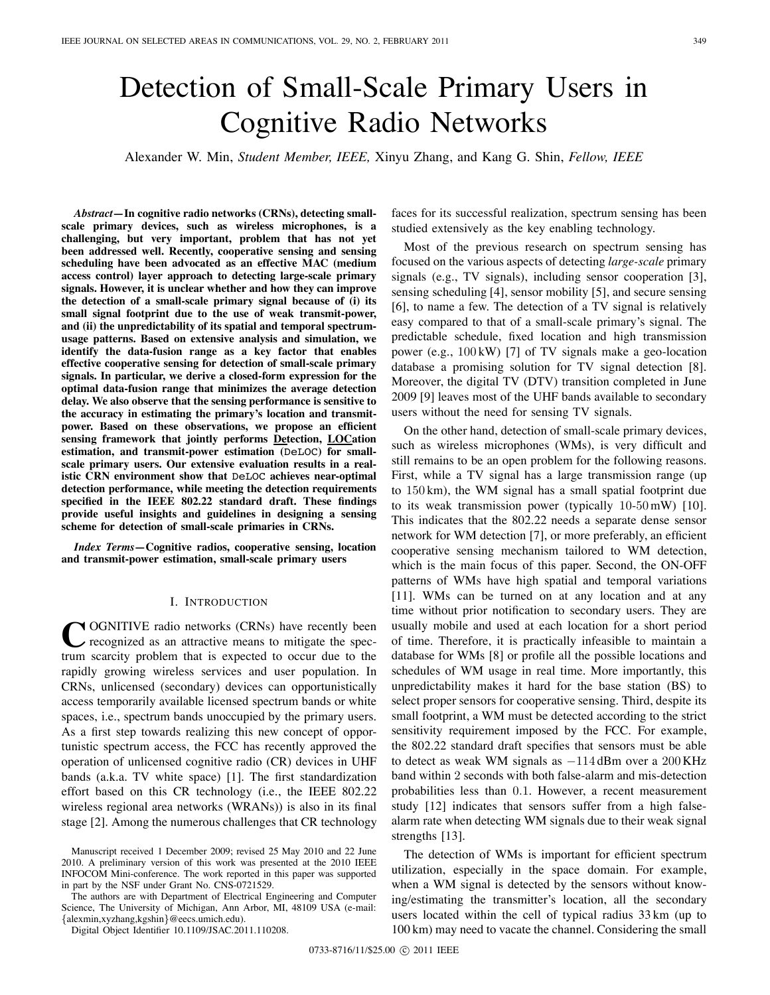# Detection of Small-Scale Primary Users in Cognitive Radio Networks

Alexander W. Min, *Student Member, IEEE,* Xinyu Zhang, and Kang G. Shin, *Fellow, IEEE*

*Abstract***—In cognitive radio networks (CRNs), detecting smallscale primary devices, such as wireless microphones, is a challenging, but very important, problem that has not yet been addressed well. Recently, cooperative sensing and sensing scheduling have been advocated as an effective MAC (medium access control) layer approach to detecting large-scale primary signals. However, it is unclear whether and how they can improve the detection of a small-scale primary signal because of (i) its small signal footprint due to the use of weak transmit-power, and (ii) the unpredictability of its spatial and temporal spectrumusage patterns. Based on extensive analysis and simulation, we identify the data-fusion range as a key factor that enables effective cooperative sensing for detection of small-scale primary signals. In particular, we derive a closed-form expression for the optimal data-fusion range that minimizes the average detection delay. We also observe that the sensing performance is sensitive to the accuracy in estimating the primary's location and transmitpower. Based on these observations, we propose an efficient sensing framework that jointly performs Detection, LOCation estimation, and transmit-power estimation (**DeLOC**) for smallscale primary users. Our extensive evaluation results in a realistic CRN environment show that** DeLOC **achieves near-optimal detection performance, while meeting the detection requirements specified in the IEEE 802.22 standard draft. These findings provide useful insights and guidelines in designing a sensing scheme for detection of small-scale primaries in CRNs.**

*Index Terms***—Cognitive radios, cooperative sensing, location and transmit-power estimation, small-scale primary users**

## I. INTRODUCTION

**COGNITIVE** radio networks (CRNs) have recently been recognized as an attractive means to mitigate the spectrum scarcity problem that is expected to occur due to the rapidly growing wireless services and user population. In CRNs, unlicensed (secondary) devices can opportunistically access temporarily available licensed spectrum bands or white spaces, i.e., spectrum bands unoccupied by the primary users. As a first step towards realizing this new concept of opportunistic spectrum access, the FCC has recently approved the operation of unlicensed cognitive radio (CR) devices in UHF bands (a.k.a. TV white space) [1]. The first standardization effort based on this CR technology (i.e., the IEEE 802.22 wireless regional area networks (WRANs)) is also in its final stage [2]. Among the numerous challenges that CR technology

The authors are with Department of Electrical Engineering and Computer Science, The University of Michigan, Ann Arbor, MI, 48109 USA (e-mail: {alexmin,xyzhang,kgshin}@eecs.umich.edu).

Digital Object Identifier 10.1109/JSAC.2011.110208.

faces for its successful realization, spectrum sensing has been studied extensively as the key enabling technology.

Most of the previous research on spectrum sensing has focused on the various aspects of detecting *large-scale* primary signals (e.g., TV signals), including sensor cooperation [3], sensing scheduling [4], sensor mobility [5], and secure sensing [6], to name a few. The detection of a TV signal is relatively easy compared to that of a small-scale primary's signal. The predictable schedule, fixed location and high transmission power (e.g., 100 kW) [7] of TV signals make a geo-location database a promising solution for TV signal detection [8]. Moreover, the digital TV (DTV) transition completed in June 2009 [9] leaves most of the UHF bands available to secondary users without the need for sensing TV signals.

On the other hand, detection of small-scale primary devices, such as wireless microphones (WMs), is very difficult and still remains to be an open problem for the following reasons. First, while a TV signal has a large transmission range (up to 150 km), the WM signal has a small spatial footprint due to its weak transmission power (typically 10-50mW) [10]. This indicates that the 802.22 needs a separate dense sensor network for WM detection [7], or more preferably, an efficient cooperative sensing mechanism tailored to WM detection, which is the main focus of this paper. Second, the ON-OFF patterns of WMs have high spatial and temporal variations [11]. WMs can be turned on at any location and at any time without prior notification to secondary users. They are usually mobile and used at each location for a short period of time. Therefore, it is practically infeasible to maintain a database for WMs [8] or profile all the possible locations and schedules of WM usage in real time. More importantly, this unpredictability makes it hard for the base station (BS) to select proper sensors for cooperative sensing. Third, despite its small footprint, a WM must be detected according to the strict sensitivity requirement imposed by the FCC. For example, the 802.22 standard draft specifies that sensors must be able to detect as weak WM signals as −114 dBm over a 200 KHz band within 2 seconds with both false-alarm and mis-detection probabilities less than 0.1. However, a recent measurement study [12] indicates that sensors suffer from a high falsealarm rate when detecting WM signals due to their weak signal strengths [13].

The detection of WMs is important for efficient spectrum utilization, especially in the space domain. For example, when a WM signal is detected by the sensors without knowing/estimating the transmitter's location, all the secondary users located within the cell of typical radius 33 km (up to 100 km) may need to vacate the channel. Considering the small

Manuscript received 1 December 2009; revised 25 May 2010 and 22 June 2010. A preliminary version of this work was presented at the 2010 IEEE INFOCOM Mini-conference. The work reported in this paper was supported in part by the NSF under Grant No. CNS-0721529.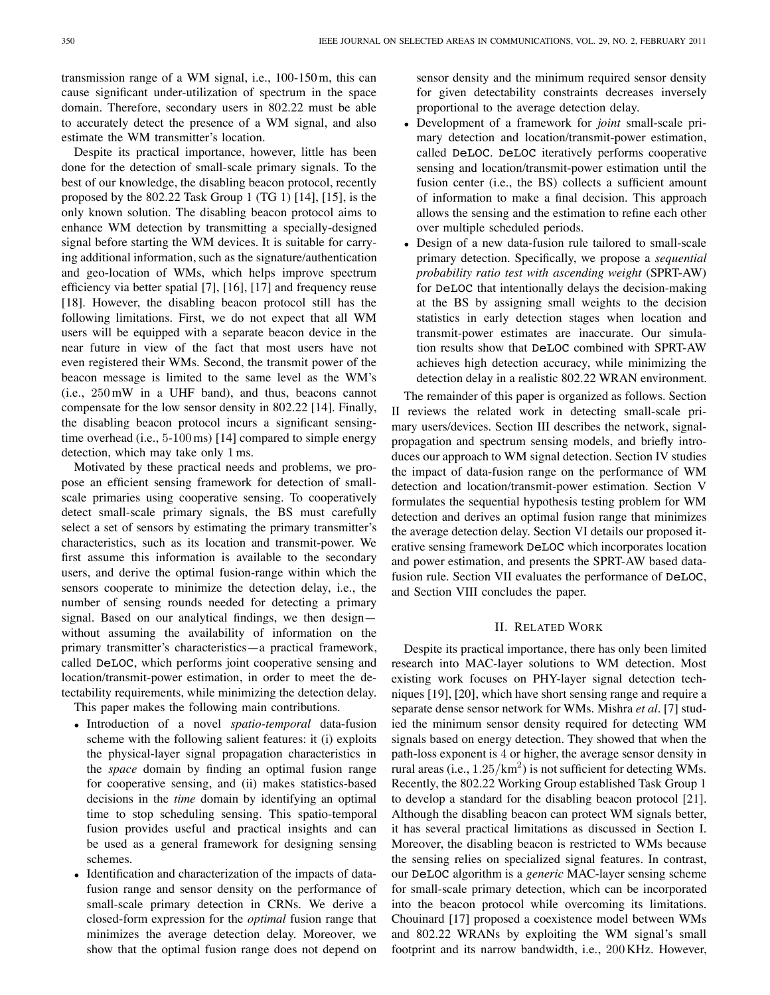transmission range of a WM signal, i.e., 100-150m, this can cause significant under-utilization of spectrum in the space domain. Therefore, secondary users in 802.22 must be able to accurately detect the presence of a WM signal, and also estimate the WM transmitter's location.

Despite its practical importance, however, little has been done for the detection of small-scale primary signals. To the best of our knowledge, the disabling beacon protocol, recently proposed by the  $802.22$  Task Group 1 (TG 1) [14], [15], is the only known solution. The disabling beacon protocol aims to enhance WM detection by transmitting a specially-designed signal before starting the WM devices. It is suitable for carrying additional information, such as the signature/authentication and geo-location of WMs, which helps improve spectrum efficiency via better spatial [7], [16], [17] and frequency reuse [18]. However, the disabling beacon protocol still has the following limitations. First, we do not expect that all WM users will be equipped with a separate beacon device in the near future in view of the fact that most users have not even registered their WMs. Second, the transmit power of the beacon message is limited to the same level as the WM's (i.e., 250mW in a UHF band), and thus, beacons cannot compensate for the low sensor density in 802.22 [14]. Finally, the disabling beacon protocol incurs a significant sensingtime overhead (i.e., 5-100ms) [14] compared to simple energy detection, which may take only 1 ms.

Motivated by these practical needs and problems, we propose an efficient sensing framework for detection of smallscale primaries using cooperative sensing. To cooperatively detect small-scale primary signals, the BS must carefully select a set of sensors by estimating the primary transmitter's characteristics, such as its location and transmit-power. We first assume this information is available to the secondary users, and derive the optimal fusion-range within which the sensors cooperate to minimize the detection delay, i.e., the number of sensing rounds needed for detecting a primary signal. Based on our analytical findings, we then design without assuming the availability of information on the primary transmitter's characteristics—a practical framework, called DeLOC, which performs joint cooperative sensing and location/transmit-power estimation, in order to meet the detectability requirements, while minimizing the detection delay.

This paper makes the following main contributions.

- Introduction of a novel *spatio-temporal* data-fusion scheme with the following salient features: it (i) exploits the physical-layer signal propagation characteristics in the *space* domain by finding an optimal fusion range for cooperative sensing, and (ii) makes statistics-based decisions in the *time* domain by identifying an optimal time to stop scheduling sensing. This spatio-temporal fusion provides useful and practical insights and can be used as a general framework for designing sensing schemes.
- Identification and characterization of the impacts of datafusion range and sensor density on the performance of small-scale primary detection in CRNs. We derive a closed-form expression for the *optimal* fusion range that minimizes the average detection delay. Moreover, we show that the optimal fusion range does not depend on

sensor density and the minimum required sensor density for given detectability constraints decreases inversely proportional to the average detection delay.

- Development of a framework for *joint* small-scale primary detection and location/transmit-power estimation, called DeLOC. DeLOC iteratively performs cooperative sensing and location/transmit-power estimation until the fusion center (i.e., the BS) collects a sufficient amount of information to make a final decision. This approach allows the sensing and the estimation to refine each other over multiple scheduled periods.
- Design of a new data-fusion rule tailored to small-scale primary detection. Specifically, we propose a *sequential probability ratio test with ascending weight* (SPRT-AW) for DeLOC that intentionally delays the decision-making at the BS by assigning small weights to the decision statistics in early detection stages when location and transmit-power estimates are inaccurate. Our simulation results show that DeLOC combined with SPRT-AW achieves high detection accuracy, while minimizing the detection delay in a realistic 802.22 WRAN environment.

The remainder of this paper is organized as follows. Section II reviews the related work in detecting small-scale primary users/devices. Section III describes the network, signalpropagation and spectrum sensing models, and briefly introduces our approach to WM signal detection. Section IV studies the impact of data-fusion range on the performance of WM detection and location/transmit-power estimation. Section V formulates the sequential hypothesis testing problem for WM detection and derives an optimal fusion range that minimizes the average detection delay. Section VI details our proposed iterative sensing framework DeLOC which incorporates location and power estimation, and presents the SPRT-AW based datafusion rule. Section VII evaluates the performance of DeLOC, and Section VIII concludes the paper.

## II. RELATED WORK

Despite its practical importance, there has only been limited research into MAC-layer solutions to WM detection. Most existing work focuses on PHY-layer signal detection techniques [19], [20], which have short sensing range and require a separate dense sensor network for WMs. Mishra *et al.* [7] studied the minimum sensor density required for detecting WM signals based on energy detection. They showed that when the path-loss exponent is 4 or higher, the average sensor density in rural areas (i.e.,  $1.25/\text{km}^2$ ) is not sufficient for detecting WMs. Recently, the 802.22 Working Group established Task Group 1 to develop a standard for the disabling beacon protocol [21]. Although the disabling beacon can protect WM signals better, it has several practical limitations as discussed in Section I. Moreover, the disabling beacon is restricted to WMs because the sensing relies on specialized signal features. In contrast, our DeLOC algorithm is a *generic* MAC-layer sensing scheme for small-scale primary detection, which can be incorporated into the beacon protocol while overcoming its limitations. Chouinard [17] proposed a coexistence model between WMs and 802.22 WRANs by exploiting the WM signal's small footprint and its narrow bandwidth, i.e., 200 KHz. However,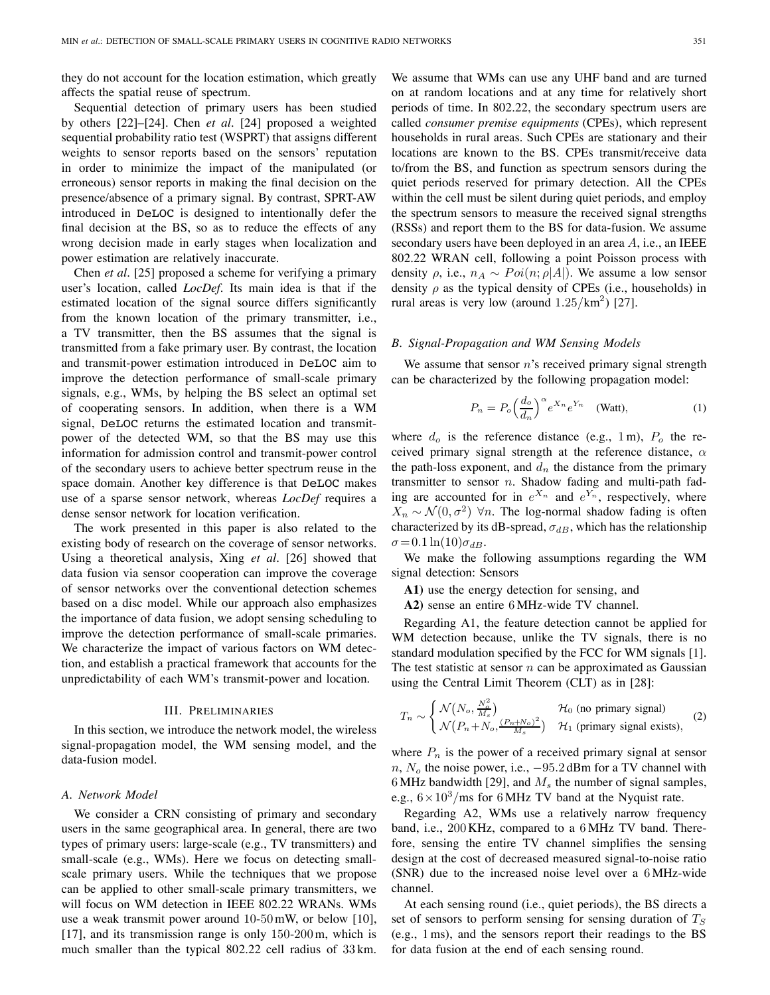they do not account for the location estimation, which greatly affects the spatial reuse of spectrum.

Sequential detection of primary users has been studied by others [22]–[24]. Chen *et al.* [24] proposed a weighted sequential probability ratio test (WSPRT) that assigns different weights to sensor reports based on the sensors' reputation in order to minimize the impact of the manipulated (or erroneous) sensor reports in making the final decision on the presence/absence of a primary signal. By contrast, SPRT-AW introduced in DeLOC is designed to intentionally defer the final decision at the BS, so as to reduce the effects of any wrong decision made in early stages when localization and power estimation are relatively inaccurate.

Chen *et al.* [25] proposed a scheme for verifying a primary user's location, called *LocDef*. Its main idea is that if the estimated location of the signal source differs significantly from the known location of the primary transmitter, i.e., a TV transmitter, then the BS assumes that the signal is transmitted from a fake primary user. By contrast, the location and transmit-power estimation introduced in DeLOC aim to improve the detection performance of small-scale primary signals, e.g., WMs, by helping the BS select an optimal set of cooperating sensors. In addition, when there is a WM signal, DeLOC returns the estimated location and transmitpower of the detected WM, so that the BS may use this information for admission control and transmit-power control of the secondary users to achieve better spectrum reuse in the space domain. Another key difference is that DeLOC makes use of a sparse sensor network, whereas *LocDef* requires a dense sensor network for location verification.

The work presented in this paper is also related to the existing body of research on the coverage of sensor networks. Using a theoretical analysis, Xing *et al.* [26] showed that data fusion via sensor cooperation can improve the coverage of sensor networks over the conventional detection schemes based on a disc model. While our approach also emphasizes the importance of data fusion, we adopt sensing scheduling to improve the detection performance of small-scale primaries. We characterize the impact of various factors on WM detection, and establish a practical framework that accounts for the unpredictability of each WM's transmit-power and location.

#### III. PRELIMINARIES

In this section, we introduce the network model, the wireless signal-propagation model, the WM sensing model, and the data-fusion model.

#### *A. Network Model*

We consider a CRN consisting of primary and secondary users in the same geographical area. In general, there are two types of primary users: large-scale (e.g., TV transmitters) and small-scale (e.g., WMs). Here we focus on detecting smallscale primary users. While the techniques that we propose can be applied to other small-scale primary transmitters, we will focus on WM detection in IEEE 802.22 WRANs. WMs use a weak transmit power around 10-50mW, or below [10], [17], and its transmission range is only 150-200m, which is much smaller than the typical 802.22 cell radius of 33 km.

We assume that WMs can use any UHF band and are turned on at random locations and at any time for relatively short periods of time. In 802.22, the secondary spectrum users are called *consumer premise equipments* (CPEs), which represent households in rural areas. Such CPEs are stationary and their locations are known to the BS. CPEs transmit/receive data to/from the BS, and function as spectrum sensors during the quiet periods reserved for primary detection. All the CPEs within the cell must be silent during quiet periods, and employ the spectrum sensors to measure the received signal strengths (RSSs) and report them to the BS for data-fusion. We assume secondary users have been deployed in an area  $A$ , i.e., an IEEE 802.22 WRAN cell, following a point Poisson process with density  $\rho$ , i.e.,  $n_A \sim Poi(n; \rho|A|)$ . We assume a low sensor density  $\rho$  as the typical density of CPEs (i.e., households) in rural areas is very low (around  $1.25/\text{km}^2$ ) [27].

## *B. Signal-Propagation and WM Sensing Models*

We assume that sensor  $n$ 's received primary signal strength can be characterized by the following propagation model:

$$
P_n = P_o \left(\frac{d_o}{d_n}\right)^{\alpha} e^{X_n} e^{Y_n} \quad \text{(Watt)},\tag{1}
$$

where  $d_o$  is the reference distance (e.g., 1 m),  $P_o$  the received primary signal strength at the reference distance,  $\alpha$ the path-loss exponent, and  $d_n$  the distance from the primary transmitter to sensor  $n$ . Shadow fading and multi-path fading are accounted for in  $e^{X_n}$  and  $e^{Y_n}$ , respectively, where  $X_n \sim \mathcal{N}(0, \sigma^2)$  ∀n. The log-normal shadow fading is often characterized by its dB-spread,  $\sigma_{dB}$ , which has the relationship  $\sigma = 0.1 \ln(10) \sigma_{dB}$ .

We make the following assumptions regarding the WM signal detection: Sensors

- **A1)** use the energy detection for sensing, and
- **A2)** sense an entire 6 MHz-wide TV channel.

Regarding A1, the feature detection cannot be applied for WM detection because, unlike the TV signals, there is no standard modulation specified by the FCC for WM signals [1]. The test statistic at sensor  $n$  can be approximated as Gaussian using the Central Limit Theorem (CLT) as in [28]:

$$
T_n \sim \begin{cases} \mathcal{N}(N_o, \frac{N_o^2}{M_s}) & \mathcal{H}_0 \text{ (no primary signal)}\\ \mathcal{N}(P_n + N_o, \frac{(P_n + N_o)^2}{M_s}) & \mathcal{H}_1 \text{ (primary signal exists)}, \end{cases}
$$
 (2)

where  $P_n$  is the power of a received primary signal at sensor  $n, N<sub>o</sub>$  the noise power, i.e.,  $-95.2$  dBm for a TV channel with 6 MHz bandwidth [29], and  $M_s$  the number of signal samples, e.g.,  $6 \times 10^3$ /ms for 6 MHz TV band at the Nyquist rate.

Regarding A2, WMs use a relatively narrow frequency band, i.e., 200 KHz, compared to a 6 MHz TV band. Therefore, sensing the entire TV channel simplifies the sensing design at the cost of decreased measured signal-to-noise ratio (SNR) due to the increased noise level over a 6 MHz-wide channel.

At each sensing round (i.e., quiet periods), the BS directs a set of sensors to perform sensing for sensing duration of  $T<sub>S</sub>$ (e.g., 1 ms), and the sensors report their readings to the BS for data fusion at the end of each sensing round.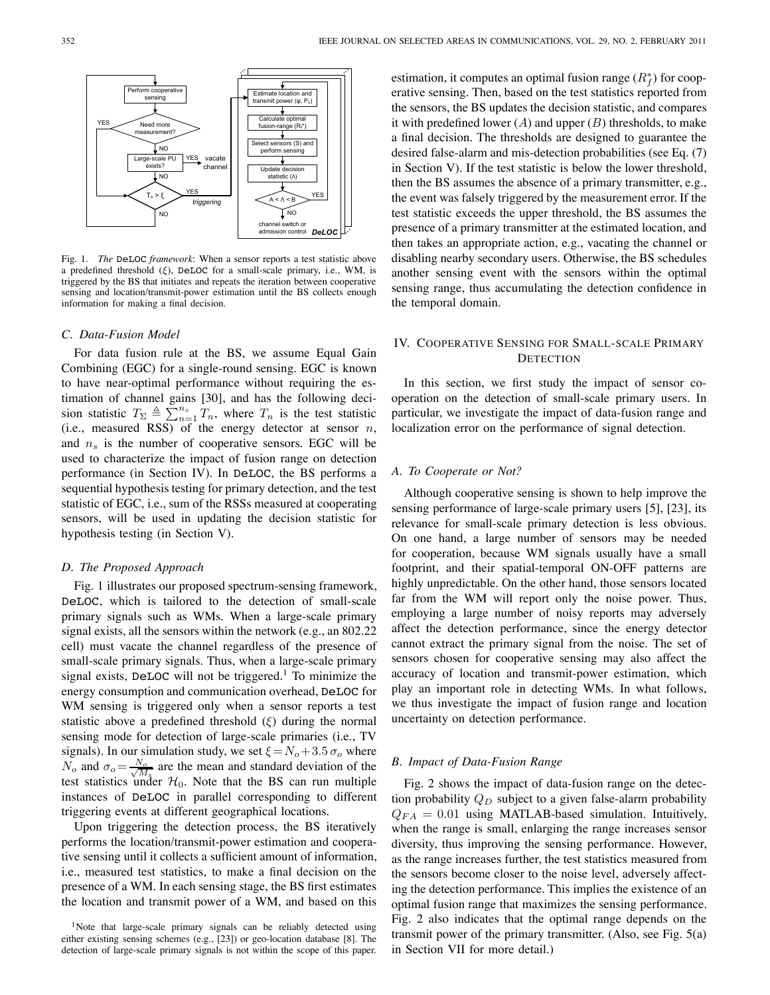

Fig. 1. *The* DeLOC *framework*: When a sensor reports a test statistic above a predefined threshold  $(\xi)$ , DeLOC for a small-scale primary, i.e., WM, is triggered by the BS that initiates and repeats the iteration between cooperative sensing and location/transmit-power estimation until the BS collects enough information for making a final decision.

## *C. Data-Fusion Model*

For data fusion rule at the BS, we assume Equal Gain Combining (EGC) for a single-round sensing. EGC is known to have near-optimal performance without requiring the estimation of channel gains [30], and has the following decision statistic  $T_{\Sigma} \triangleq \sum_{n=1}^{\infty} T_n$ , where  $T_n$  is the test statistic (i.e., measured RSS) of the energy detector at sensor  $n$ , and  $n_s$  is the number of cooperative sensors. EGC will be used to characterize the impact of fusion range on detection performance (in Section IV). In DeLOC, the BS performs a sequential hypothesis testing for primary detection, and the test statistic of EGC, i.e., sum of the RSSs measured at cooperating sensors, will be used in updating the decision statistic for hypothesis testing (in Section V).

#### *D. The Proposed Approach*

Fig. 1 illustrates our proposed spectrum-sensing framework, DeLOC, which is tailored to the detection of small-scale primary signals such as WMs. When a large-scale primary signal exists, all the sensors within the network (e.g., an 802.22 cell) must vacate the channel regardless of the presence of small-scale primary signals. Thus, when a large-scale primary signal exists, DeLOC will not be triggered.<sup>1</sup> To minimize the energy consumption and communication overhead, DeLOC for WM sensing is triggered only when a sensor reports a test statistic above a predefined threshold  $(\xi)$  during the normal sensing mode for detection of large-scale primaries (i.e., TV signals). In our simulation study, we set  $\xi = N_o + 3.5 \sigma_o$  where  $N_o$  and  $\sigma_o = \frac{N_o}{\sqrt{M}}$  $\frac{N_o}{M_s}$  are the mean and standard deviation of the test statistics under  $H_0$ . Note that the BS can run multiple instances of DeLOC in parallel corresponding to different triggering events at different geographical locations.

Upon triggering the detection process, the BS iteratively performs the location/transmit-power estimation and cooperative sensing until it collects a sufficient amount of information, i.e., measured test statistics, to make a final decision on the presence of a WM. In each sensing stage, the BS first estimates the location and transmit power of a WM, and based on this

estimation, it computes an optimal fusion range  $(R<sub>f</sub><sup>*</sup>)$  for cooperative sensing. Then, based on the test statistics reported from the sensors, the BS updates the decision statistic, and compares it with predefined lower  $(A)$  and upper  $(B)$  thresholds, to make a final decision. The thresholds are designed to guarantee the desired false-alarm and mis-detection probabilities (see Eq. (7) in Section V). If the test statistic is below the lower threshold, then the BS assumes the absence of a primary transmitter, e.g., the event was falsely triggered by the measurement error. If the test statistic exceeds the upper threshold, the BS assumes the presence of a primary transmitter at the estimated location, and then takes an appropriate action, e.g., vacating the channel or disabling nearby secondary users. Otherwise, the BS schedules another sensing event with the sensors within the optimal sensing range, thus accumulating the detection confidence in the temporal domain.

## IV. COOPERATIVE SENSING FOR SMALL-SCALE PRIMARY **DETECTION**

In this section, we first study the impact of sensor cooperation on the detection of small-scale primary users. In particular, we investigate the impact of data-fusion range and localization error on the performance of signal detection.

## *A. To Cooperate or Not?*

Although cooperative sensing is shown to help improve the sensing performance of large-scale primary users [5], [23], its relevance for small-scale primary detection is less obvious. On one hand, a large number of sensors may be needed for cooperation, because WM signals usually have a small footprint, and their spatial-temporal ON-OFF patterns are highly unpredictable. On the other hand, those sensors located far from the WM will report only the noise power. Thus, employing a large number of noisy reports may adversely affect the detection performance, since the energy detector cannot extract the primary signal from the noise. The set of sensors chosen for cooperative sensing may also affect the accuracy of location and transmit-power estimation, which play an important role in detecting WMs. In what follows, we thus investigate the impact of fusion range and location uncertainty on detection performance.

## *B. Impact of Data-Fusion Range*

Fig. 2 shows the impact of data-fusion range on the detection probability  $Q_D$  subject to a given false-alarm probability  $Q_{FA} = 0.01$  using MATLAB-based simulation. Intuitively, when the range is small, enlarging the range increases sensor diversity, thus improving the sensing performance. However, as the range increases further, the test statistics measured from the sensors become closer to the noise level, adversely affecting the detection performance. This implies the existence of an optimal fusion range that maximizes the sensing performance. Fig. 2 also indicates that the optimal range depends on the transmit power of the primary transmitter. (Also, see Fig. 5(a) in Section VII for more detail.)

<sup>&</sup>lt;sup>1</sup>Note that large-scale primary signals can be reliably detected using either existing sensing schemes (e.g., [23]) or geo-location database [8]. The detection of large-scale primary signals is not within the scope of this paper.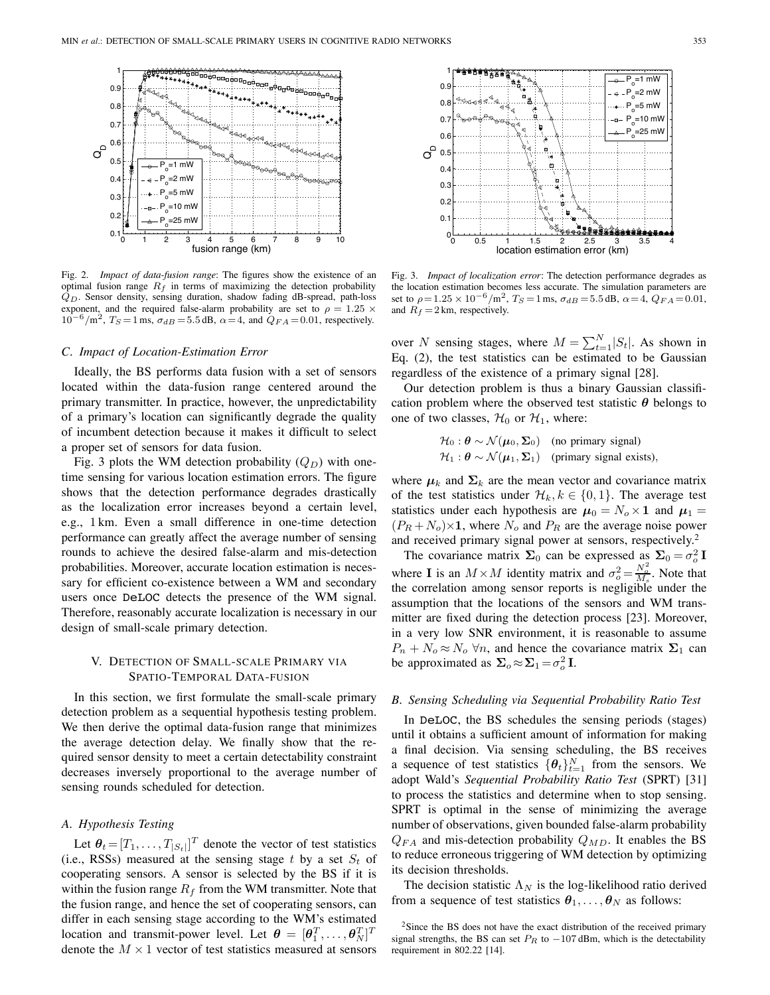

Fig. 2. *Impact of data-fusion range*: The figures show the existence of an optimal fusion range  $R_f$  in terms of maximizing the detection probability  $\dot{Q}_D$ . Sensor density, sensing duration, shadow fading dB-spread, path-loss exponent, and the required false-alarm probability are set to  $\rho = 1.25 \times$  $10^{-6}/\text{m}^2$ ,  $T_S = 1 \text{ ms}$ ,  $\sigma_{dB} = 5.5 \text{ dB}$ ,  $\alpha = 4$ , and  $Q_{FA} = 0.01$ , respectively.

#### *C. Impact of Location-Estimation Error*

Ideally, the BS performs data fusion with a set of sensors located within the data-fusion range centered around the primary transmitter. In practice, however, the unpredictability of a primary's location can significantly degrade the quality of incumbent detection because it makes it difficult to select a proper set of sensors for data fusion.

Fig. 3 plots the WM detection probability  $(Q_D)$  with onetime sensing for various location estimation errors. The figure shows that the detection performance degrades drastically as the localization error increases beyond a certain level, e.g., 1 km. Even a small difference in one-time detection performance can greatly affect the average number of sensing rounds to achieve the desired false-alarm and mis-detection probabilities. Moreover, accurate location estimation is necessary for efficient co-existence between a WM and secondary users once DeLOC detects the presence of the WM signal. Therefore, reasonably accurate localization is necessary in our design of small-scale primary detection.

## V. DETECTION OF SMALL-SCALE PRIMARY VIA SPATIO-TEMPORAL DATA-FUSION

In this section, we first formulate the small-scale primary detection problem as a sequential hypothesis testing problem. We then derive the optimal data-fusion range that minimizes the average detection delay. We finally show that the required sensor density to meet a certain detectability constraint decreases inversely proportional to the average number of sensing rounds scheduled for detection.

## *A. Hypothesis Testing*

Let  $\boldsymbol{\theta}_t = [T_1, \dots, T_{|S_t|}]^T$  denote the vector of test statistics (i.e., RSSs) measured at the sensing stage t by a set  $S_t$  of cooperating sensors. A sensor is selected by the BS if it is within the fusion range  $R_f$  from the WM transmitter. Note that the fusion range, and hence the set of cooperating sensors, can differ in each sensing stage according to the WM's estimated location and transmit-power level. Let  $\boldsymbol{\theta} = [\theta_1^T, \dots, \theta_N^T]^T$ denote the  $M \times 1$  vector of test statistics measured at sensors



Fig. 3. *Impact of localization error*: The detection performance degrades as the location estimation becomes less accurate. The simulation parameters are set to  $\rho = 1.25 \times 10^{-6} / \text{m}^2$ ,  $T_S = 1 \text{ ms}$ ,  $\sigma_{dB} = 5.5 \text{ dB}$ ,  $\alpha = 4$ ,  $Q_{FA} = 0.01$ , and  $R_f = 2 \text{ km}$ , respectively.

over N sensing stages, where  $M = \sum_{t=1}^{N} |S_t|$ . As shown in Eq. (2), the test statistics can be estimated to be Gaussian regardless of the existence of a primary signal [28].

Our detection problem is thus a binary Gaussian classification problem where the observed test statistic  $\theta$  belongs to one of two classes,  $\mathcal{H}_0$  or  $\mathcal{H}_1$ , where:

$$
\mathcal{H}_0: \theta \sim \mathcal{N}(\mu_0, \Sigma_0) \quad \text{(no primary signal)}
$$
  

$$
\mathcal{H}_1: \theta \sim \mathcal{N}(\mu_1, \Sigma_1) \quad \text{(primary signal exists)},
$$

where  $\mu_k$  and  $\Sigma_k$  are the mean vector and covariance matrix of the test statistics under  $\mathcal{H}_k, k \in \{0, 1\}$ . The average test statistics under each hypothesis are  $\mu_0 = N_o \times 1$  and  $\mu_1 =$  $(P_R + N_o) \times 1$ , where  $N_o$  and  $P_R$  are the average noise power and received primary signal power at sensors, respectively.2

The covariance matrix  $\Sigma_0$  can be expressed as  $\Sigma_0 = \sigma_o^2 \mathbf{I}$ where **I** is an  $M \times M$  identity matrix and  $\sigma_o^2 = \frac{N_o^2}{M_s}$ . Note that the correlation among sensor reports is negligible under the assumption that the locations of the sensors and WM transmitter are fixed during the detection process [23]. Moreover, in a very low SNR environment, it is reasonable to assume  $P_n + N_o \approx N_o \forall n$ , and hence the covariance matrix  $\Sigma_1$  can be approximated as  $\Sigma_o \approx \Sigma_1 = \sigma_o^2 \mathbf{I}$ .

#### *B. Sensing Scheduling via Sequential Probability Ratio Test*

In DeLOC, the BS schedules the sensing periods (stages) until it obtains a sufficient amount of information for making a final decision. Via sensing scheduling, the BS receives a sequence of test statistics  $\{\theta_t\}_{t=1}^N$  from the sensors. We adopt Wald's *Sequential Probability Ratio Test* (SPRT) [31] to process the statistics and determine when to stop sensing. SPRT is optimal in the sense of minimizing the average number of observations, given bounded false-alarm probability  $Q_{FA}$  and mis-detection probability  $Q_{MD}$ . It enables the BS to reduce erroneous triggering of WM detection by optimizing its decision thresholds.

The decision statistic  $\Lambda_N$  is the log-likelihood ratio derived from a sequence of test statistics  $\theta_1, \ldots, \theta_N$  as follows:

<sup>&</sup>lt;sup>2</sup>Since the BS does not have the exact distribution of the received primary signal strengths, the BS can set  $P_R$  to  $-107$  dBm, which is the detectability requirement in 802.22 [14].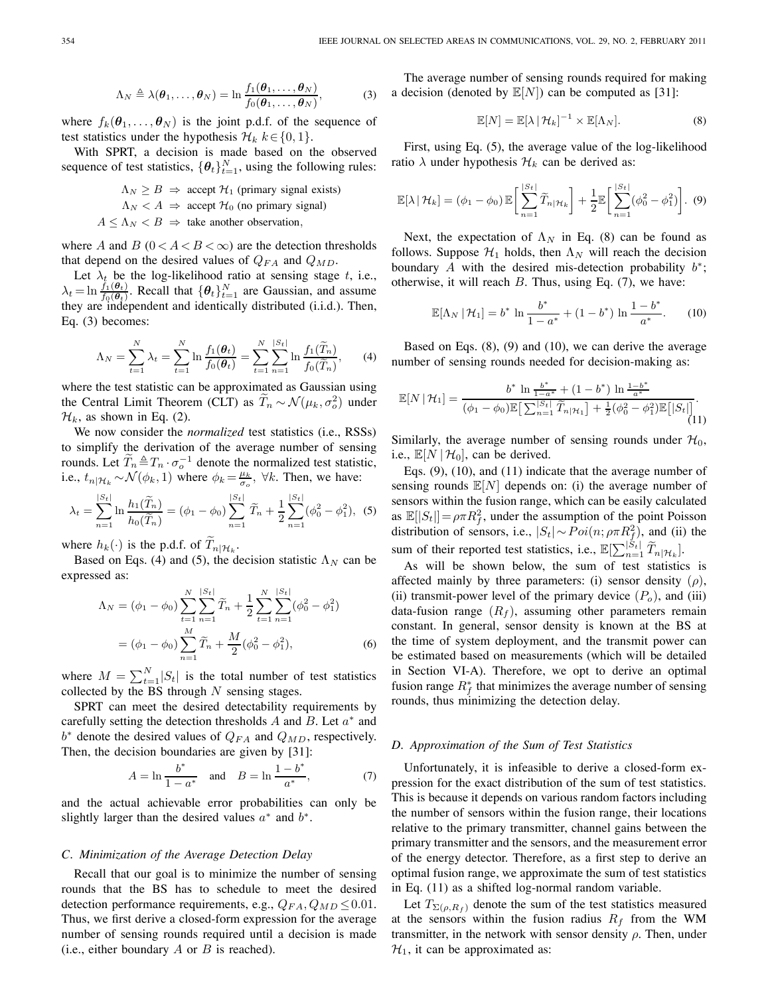$$
\Lambda_N \triangleq \lambda(\boldsymbol{\theta}_1, \dots, \boldsymbol{\theta}_N) = \ln \frac{f_1(\boldsymbol{\theta}_1, \dots, \boldsymbol{\theta}_N)}{f_0(\boldsymbol{\theta}_1, \dots, \boldsymbol{\theta}_N)},
$$
(3)

where  $f_k(\theta_1,\ldots,\theta_N)$  is the joint p.d.f. of the sequence of test statistics under the hypothesis  $\mathcal{H}_k$   $k \in \{0, 1\}.$ 

With SPRT, a decision is made based on the observed sequence of test statistics,  $\{\theta_t\}_{t=1}^N$ , using the following rules:

> $\Lambda_N \geq B \Rightarrow$  accept  $\mathcal{H}_1$  (primary signal exists)  $\Lambda_N < A$   $\Rightarrow$  accept  $\mathcal{H}_0$  (no primary signal)  $A \leq \Lambda_N \leq B \Rightarrow$  take another observation.

where A and B ( $0 < A < B < \infty$ ) are the detection thresholds that depend on the desired values of  $Q_{FA}$  and  $Q_{MD}$ .

Let  $\lambda_t$  be the log-likelihood ratio at sensing stage t, i.e.,  $\lambda_t = \ln \frac{\tilde{f}_1(\theta_t)}{f_0(\theta_t)}$ . Recall that  $\{\theta_t\}_{t=1}^N$  are Gaussian, and assume they are independent and identically distributed (i.i.d.). Then, Eq. (3) becomes:

$$
\Lambda_N = \sum_{t=1}^N \lambda_t = \sum_{t=1}^N \ln \frac{f_1(\theta_t)}{f_0(\theta_t)} = \sum_{t=1}^N \sum_{n=1}^{|S_t|} \ln \frac{f_1(\widetilde{T}_n)}{f_0(\widetilde{T}_n)},\qquad(4)
$$

where the test statistic can be approximated as Gaussian using the Central Limit Theorem (CLT) as  $T_n \sim \mathcal{N}(\mu_k, \sigma_o^2)$  under  $\mathcal{H}_k$ , as shown in Eq. (2).

We now consider the *normalized* test statistics (i.e., RSSs) to simplify the derivation of the average number of sensing rounds. Let  $T_n \triangleq T_n \cdot \sigma_o^{-1}$  denote the normalized test statistic, i.e.,  $t_{n|\mathcal{H}_k} \sim \mathcal{N}(\phi_k, 1)$  where  $\phi_k = \frac{\mu_k}{\sigma_o}$ ,  $\forall k$ . Then, we have:

$$
\lambda_t = \sum_{n=1}^{|S_t|} \ln \frac{h_1(\widetilde{T}_n)}{h_0(\widetilde{T}_n)} = (\phi_1 - \phi_0) \sum_{n=1}^{|S_t|} \widetilde{T}_n + \frac{1}{2} \sum_{n=1}^{|S_t|} (\phi_0^2 - \phi_1^2), \tag{5}
$$

where  $h_k(\cdot)$  is the p.d.f. of  $T_{n|\mathcal{H}_k}$ .

Based on Eqs. (4) and (5), the decision statistic  $\Lambda_N$  can be expressed as:

$$
\Lambda_N = (\phi_1 - \phi_0) \sum_{t=1}^N \sum_{n=1}^{|S_t|} \widetilde{T}_n + \frac{1}{2} \sum_{t=1}^N \sum_{n=1}^{|S_t|} (\phi_0^2 - \phi_1^2)
$$

$$
= (\phi_1 - \phi_0) \sum_{n=1}^M \widetilde{T}_n + \frac{M}{2} (\phi_0^2 - \phi_1^2), \tag{6}
$$

where  $M = \sum_{t=1}^{N} |S_t|$  is the total number of test statistics collected by the BS through  $N$  sensing stages.

SPRT can meet the desired detectability requirements by carefully setting the detection thresholds  $A$  and  $B$ . Let  $a^*$  and  $b^*$  denote the desired values of  $Q_{FA}$  and  $Q_{MD}$ , respectively. Then, the decision boundaries are given by [31]:

$$
A = \ln \frac{b^*}{1 - a^*} \quad \text{and} \quad B = \ln \frac{1 - b^*}{a^*}, \tag{7}
$$

and the actual achievable error probabilities can only be slightly larger than the desired values  $a^*$  and  $b^*$ .

## *C. Minimization of the Average Detection Delay*

Recall that our goal is to minimize the number of sensing rounds that the BS has to schedule to meet the desired detection performance requirements, e.g.,  $Q_{FA}$ ,  $Q_{MD} \le 0.01$ . Thus, we first derive a closed-form expression for the average number of sensing rounds required until a decision is made (i.e., either boundary  $A$  or  $B$  is reached).

The average number of sensing rounds required for making a decision (denoted by  $\mathbb{E}[N]$ ) can be computed as [31]:

$$
\mathbb{E}[N] = \mathbb{E}[\lambda \,|\, \mathcal{H}_k]^{-1} \times \mathbb{E}[\Lambda_N]. \tag{8}
$$

First, using Eq. (5), the average value of the log-likelihood ratio  $\lambda$  under hypothesis  $\mathcal{H}_k$  can be derived as:

$$
\mathbb{E}[\lambda | \mathcal{H}_k] = (\phi_1 - \phi_0) \mathbb{E} \bigg[ \sum_{n=1}^{|S_t|} \widetilde{T}_{n | \mathcal{H}_k} \bigg] + \frac{1}{2} \mathbb{E} \bigg[ \sum_{n=1}^{|S_t|} (\phi_0^2 - \phi_1^2) \bigg].
$$
 (9)

Next, the expectation of  $\Lambda_N$  in Eq. (8) can be found as follows. Suppose  $\mathcal{H}_1$  holds, then  $\Lambda_N$  will reach the decision boundary A with the desired mis-detection probability  $b^*$ ; otherwise, it will reach  $B$ . Thus, using Eq.  $(7)$ , we have:

$$
\mathbb{E}[\Lambda_N \,|\, \mathcal{H}_1] = b^* \, \ln \frac{b^*}{1 - a^*} + (1 - b^*) \, \ln \frac{1 - b^*}{a^*}.\tag{10}
$$

Based on Eqs. (8), (9) and (10), we can derive the average number of sensing rounds needed for decision-making as:

$$
\mathbb{E}[N \mid \mathcal{H}_1] = \frac{b^* \ln \frac{b^*}{1 - a^*} + (1 - b^*) \ln \frac{1 - b^*}{a^*}}{(\phi_1 - \phi_0) \mathbb{E} \left[ \sum_{n=1}^{|S_t|} \widetilde{T}_{n | \mathcal{H}_1} \right] + \frac{1}{2} (\phi_0^2 - \phi_1^2) \mathbb{E} \left[ |S_t| \right]}.
$$
\n(11)

Similarly, the average number of sensing rounds under  $\mathcal{H}_0$ , i.e.,  $\mathbb{E}[N \, | \, \mathcal{H}_0]$ , can be derived.

Eqs. (9), (10), and (11) indicate that the average number of sensing rounds  $\mathbb{E}[N]$  depends on: (i) the average number of sensors within the fusion range, which can be easily calculated as  $\mathbb{E}[|S_t|] = \rho \pi R_f^2$ , under the assumption of the point Poisson distribution of sensors, i.e.,  $|S_t| \sim Poi(n; \rho \pi R_f^2)$ , and (ii) the sum of their reported test statistics, i.e.,  $\mathbb{E}[\sum_{n=1}^{|\dot{S}_t|} \tilde{T}_{n|\mathcal{H}_k}]$ .

As will be shown below, the sum of test statistics is affected mainly by three parameters: (i) sensor density  $(\rho)$ , (ii) transmit-power level of the primary device  $(P<sub>o</sub>)$ , and (iii) data-fusion range  $(R_f)$ , assuming other parameters remain constant. In general, sensor density is known at the BS at the time of system deployment, and the transmit power can be estimated based on measurements (which will be detailed in Section VI-A). Therefore, we opt to derive an optimal fusion range  $R_f^*$  that minimizes the average number of sensing rounds, thus minimizing the detection delay.

#### *D. Approximation of the Sum of Test Statistics*

Unfortunately, it is infeasible to derive a closed-form expression for the exact distribution of the sum of test statistics. This is because it depends on various random factors including the number of sensors within the fusion range, their locations relative to the primary transmitter, channel gains between the primary transmitter and the sensors, and the measurement error of the energy detector. Therefore, as a first step to derive an optimal fusion range, we approximate the sum of test statistics in Eq. (11) as a shifted log-normal random variable.

Let  $T_{\Sigma(\rho, R_f)}$  denote the sum of the test statistics measured at the sensors within the fusion radius  $R_f$  from the WM transmitter, in the network with sensor density  $\rho$ . Then, under  $\mathcal{H}_1$ , it can be approximated as: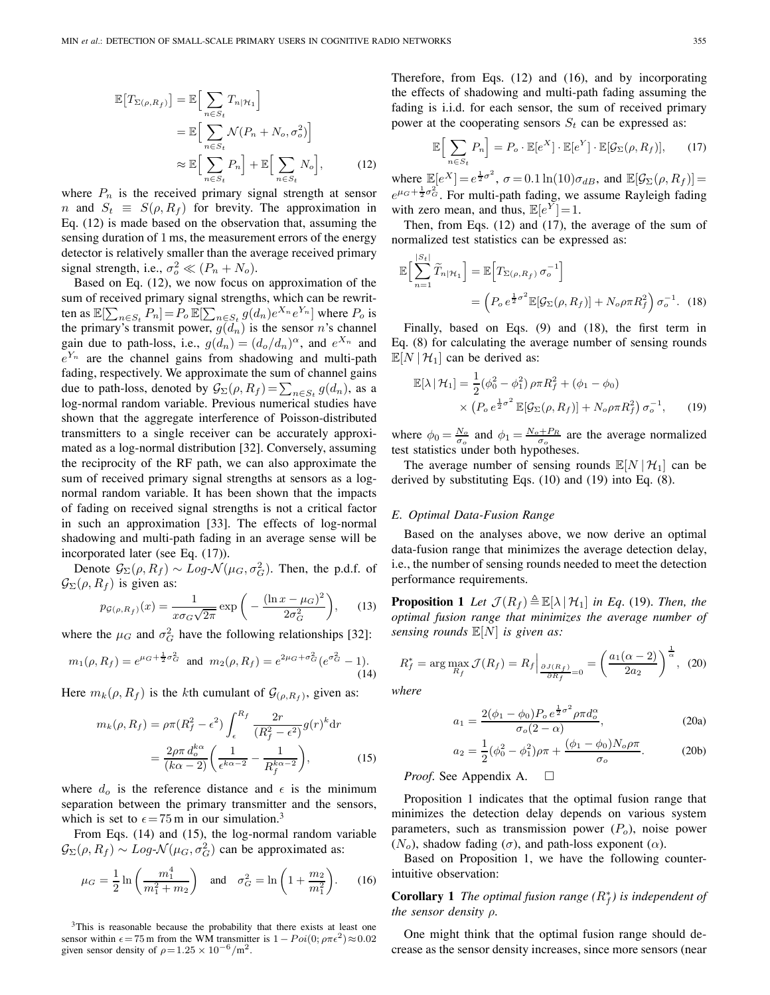$$
\mathbb{E}\left[T_{\Sigma(\rho,R_f)}\right] = \mathbb{E}\Big[\sum_{n \in S_t} T_{n|\mathcal{H}_1}\Big] \n= \mathbb{E}\Big[\sum_{n \in S_t} \mathcal{N}(P_n + N_o, \sigma_o^2)\Big] \n\approx \mathbb{E}\Big[\sum_{n \in S_t} P_n\Big] + \mathbb{E}\Big[\sum_{n \in S_t} N_o\Big],
$$
\n(12)

where  $P_n$  is the received primary signal strength at sensor n and  $S_t \equiv S(\rho, R_f)$  for brevity. The approximation in Eq. (12) is made based on the observation that, assuming the sensing duration of 1 ms, the measurement errors of the energy detector is relatively smaller than the average received primary signal strength, i.e.,  $\sigma_o^2 \ll (P_n + N_o)$ .

Based on Eq. (12), we now focus on approximation of the sum of received primary signal strengths, which can be rewritten as  $\mathbb{E}[\sum_{n \in S_t} P_n] = P_o \mathbb{E}[\sum_{n \in S_t} g(d_n) e^{X_n} e^{Y_n}]$  where  $P_o$  is the primary's transmit power,  $g(d_n)$  is the sensor *n*'s channel gain due to path-loss, i.e.,  $g(d_n)=(d_o/d_n)^{\alpha}$ , and  $e^{X_n}$  and  $e^{Y_n}$  are the channel gains from shadowing and multi-path fading, respectively. We approximate the sum of channel gains due to path-loss, denoted by  $G_{\Sigma}(\rho, R_f) = \sum_{n \in S_t} g(d_n)$ , as a log-normal random variable. Previous numerical studies have shown that the aggregate interference of Poisson-distributed transmitters to a single receiver can be accurately approximated as a log-normal distribution [32]. Conversely, assuming the reciprocity of the RF path, we can also approximate the sum of received primary signal strengths at sensors as a lognormal random variable. It has been shown that the impacts of fading on received signal strengths is not a critical factor in such an approximation [33]. The effects of log-normal shadowing and multi-path fading in an average sense will be incorporated later (see Eq. (17)).

Denote  $\mathcal{G}_{\Sigma}(\rho, R_f) \sim Log\mathcal{N}(\mu_G, \sigma_G^2)$ . Then, the p.d.f. of  $\mathcal{G}_{\Sigma}(\rho, R_f)$  is given as:

$$
p_{\mathcal{G}(\rho, R_f)}(x) = \frac{1}{x\sigma_G\sqrt{2\pi}} \exp\left(-\frac{(\ln x - \mu_G)^2}{2\sigma_G^2}\right),\tag{13}
$$

where the  $\mu_G$  and  $\sigma_G^2$  have the following relationships [32]:

$$
m_1(\rho, R_f) = e^{\mu_G + \frac{1}{2}\sigma_G^2}
$$
 and  $m_2(\rho, R_f) = e^{2\mu_G + \sigma_G^2} (e^{\sigma_G^2} - 1).$  (14)

Here  $m_k(\rho, R_f)$  is the kth cumulant of  $\mathcal{G}_{(\rho, R_f)}$ , given as:

$$
m_k(\rho, R_f) = \rho \pi (R_f^2 - \epsilon^2) \int_{\epsilon}^{R_f} \frac{2r}{(R_f^2 - \epsilon^2)} g(r)^k dr
$$

$$
= \frac{2\rho \pi d_o^{k\alpha}}{(k\alpha - 2)} \left(\frac{1}{\epsilon^{k\alpha - 2}} - \frac{1}{R_f^{k\alpha - 2}}\right),
$$
(15)

where  $d_o$  is the reference distance and  $\epsilon$  is the minimum separation between the primary transmitter and the sensors, which is set to  $\epsilon = 75$  m in our simulation.<sup>3</sup>

From Eqs. (14) and (15), the log-normal random variable  $\mathcal{G}_{\Sigma}(\rho, R_f) \sim Log\mathcal{N}(\mu_G, \sigma_G^2)$  can be approximated as:

$$
\mu_G = \frac{1}{2} \ln \left( \frac{m_1^4}{m_1^2 + m_2} \right)
$$
 and  $\sigma_G^2 = \ln \left( 1 + \frac{m_2}{m_1^2} \right)$ . (16)

<sup>3</sup>This is reasonable because the probability that there exists at least one sensor within  $\epsilon = 75$  m from the WM transmitter is  $1 - Poi(0; \rho \pi \epsilon^2) \approx 0.02$ given sensor density of  $\rho = 1.25 \times 10^{-6}/m^2$ .

Therefore, from Eqs. (12) and (16), and by incorporating the effects of shadowing and multi-path fading assuming the fading is i.i.d. for each sensor, the sum of received primary power at the cooperating sensors  $S_t$  can be expressed as:

$$
\mathbb{E}\Big[\sum_{n\in S_t} P_n\Big] = P_o \cdot \mathbb{E}[e^X] \cdot \mathbb{E}[e^Y] \cdot \mathbb{E}[\mathcal{G}_\Sigma(\rho, R_f)],\tag{17}
$$

where  $\mathbb{E}[e^X] = e^{\frac{1}{2}\sigma^2}$ ,  $\sigma = 0.1 \ln(10)\sigma_{dB}$ , and  $\mathbb{E}[\mathcal{G}_{\Sigma}(\rho, R_f)] =$  $e^{\mu_G + \frac{1}{2}\sigma_G^2}$ . For multi-path fading, we assume Rayleigh fading with zero mean, and thus,  $\mathbb{E}[e^Y] = 1$ .

Then, from Eqs. (12) and (17), the average of the sum of normalized test statistics can be expressed as:

$$
\mathbb{E}\Big[\sum_{n=1}^{|S_t|} \widetilde{T}_{n|\mathcal{H}_1}\Big] = \mathbb{E}\Big[T_{\Sigma(\rho,R_f)}\,\sigma_o^{-1}\Big] \n= \left(P_o \, e^{\frac{1}{2}\sigma^2} \mathbb{E}[\mathcal{G}_{\Sigma}(\rho,R_f)] + N_o \rho \pi R_f^2\right) \sigma_o^{-1}.
$$
\n(18)

Finally, based on Eqs. (9) and (18), the first term in Eq. (8) for calculating the average number of sensing rounds  $\mathbb{E}[N | \mathcal{H}_1]$  can be derived as:

$$
\mathbb{E}[\lambda \mid \mathcal{H}_1] = \frac{1}{2} (\phi_0^2 - \phi_1^2) \rho \pi R_f^2 + (\phi_1 - \phi_0)
$$
  
 
$$
\times \left( P_o e^{\frac{1}{2}\sigma^2} \mathbb{E}[\mathcal{G}_\Sigma(\rho, R_f)] + N_o \rho \pi R_f^2 \right) \sigma_o^{-1}, \qquad (19)
$$

where  $\phi_0 = \frac{N_o}{\sigma_o}$  and  $\phi_1 = \frac{N_o + P_R}{\sigma_o}$  are the average normalized test statistics under both hypotheses.

The average number of sensing rounds  $\mathbb{E}[N | \mathcal{H}_1]$  can be derived by substituting Eqs. (10) and (19) into Eq. (8).

#### *E. Optimal Data-Fusion Range*

Based on the analyses above, we now derive an optimal data-fusion range that minimizes the average detection delay, i.e., the number of sensing rounds needed to meet the detection performance requirements.

**Proposition 1** Let  $\mathcal{J}(R_f) \triangleq \mathbb{E}[\lambda | \mathcal{H}_1]$  in Eq. (19)*. Then, the optimal fusion range that minimizes the average number of sensing rounds* E[N] *is given as:*

$$
R_f^* = \arg\max_{R_f} \mathcal{J}(R_f) = R_f \Big|_{\frac{\partial J(R_f)}{\partial R_f} = 0} = \left(\frac{a_1(\alpha - 2)}{2a_2}\right)^{\frac{1}{\alpha}}, \tag{20}
$$

*where*

$$
a_1 = \frac{2(\phi_1 - \phi_0)P_o e^{\frac{1}{2}\sigma^2} \rho \pi d_o^{\alpha}}{\sigma_o (2 - \alpha)},
$$
\n(20a)

$$
a_2 = \frac{1}{2}(\phi_0^2 - \phi_1^2)\rho\pi + \frac{(\phi_1 - \phi_0)N_o\rho\pi}{\sigma_o}.
$$
 (20b)

*Proof.* See Appendix A. □

Proposition 1 indicates that the optimal fusion range that minimizes the detection delay depends on various system parameters, such as transmission power  $(P<sub>o</sub>)$ , noise power  $(N<sub>o</sub>)$ , shadow fading  $(\sigma)$ , and path-loss exponent  $(\alpha)$ .

Based on Proposition 1, we have the following counterintuitive observation:

## **Corollary 1** *The optimal fusion range (*R<sup>∗</sup> <sup>f</sup> *) is independent of the sensor density* ρ*.*

One might think that the optimal fusion range should decrease as the sensor density increases, since more sensors (near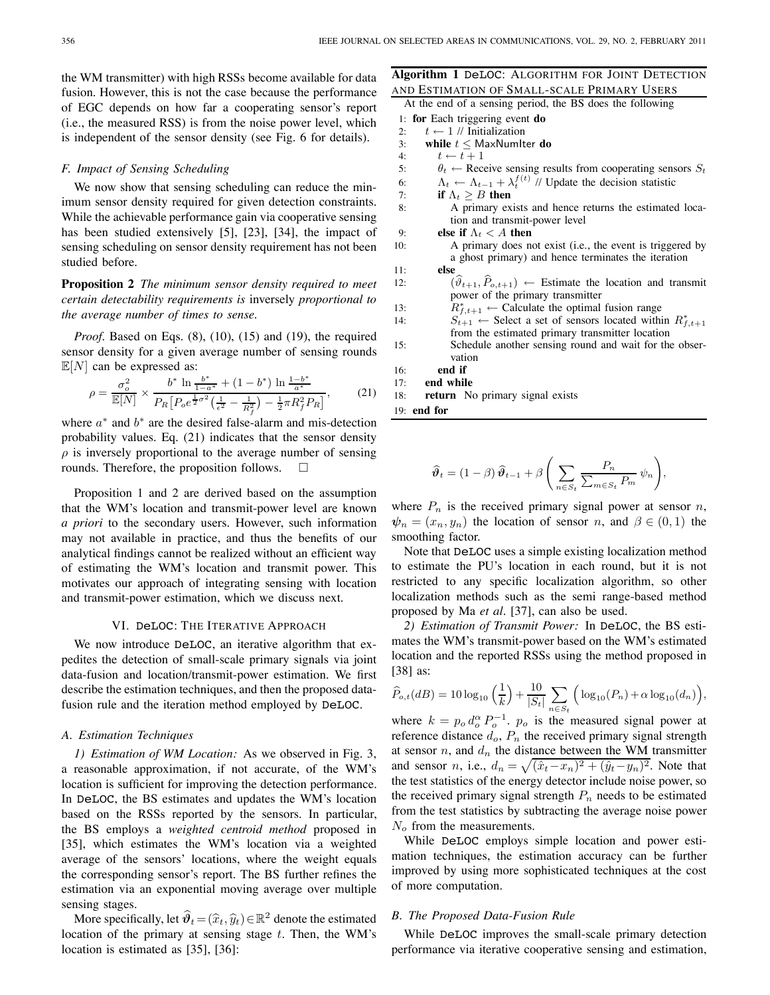the WM transmitter) with high RSSs become available for data fusion. However, this is not the case because the performance of EGC depends on how far a cooperating sensor's report (i.e., the measured RSS) is from the noise power level, which is independent of the sensor density (see Fig. 6 for details).

#### *F. Impact of Sensing Scheduling*

We now show that sensing scheduling can reduce the minimum sensor density required for given detection constraints. While the achievable performance gain via cooperative sensing has been studied extensively [5], [23], [34], the impact of sensing scheduling on sensor density requirement has not been studied before.

**Proposition 2** *The minimum sensor density required to meet certain detectability requirements is* inversely *proportional to the average number of times to sense.*

*Proof.* Based on Eqs. (8), (10), (15) and (19), the required sensor density for a given average number of sensing rounds  $\mathbb{E}[N]$  can be expressed as:

$$
\rho = \frac{\sigma_o^2}{\mathbb{E}[N]} \times \frac{b^* \ln \frac{b^*}{1 - a^*} + (1 - b^*) \ln \frac{1 - b^*}{a^*}}{P_R \left[ P_o e^{\frac{1}{2}\sigma^2} \left( \frac{1}{\epsilon^2} - \frac{1}{R_f^2} \right) - \frac{1}{2} \pi R_f^2 P_R \right]},\tag{21}
$$

where  $a^*$  and  $b^*$  are the desired false-alarm and mis-detection probability values. Eq. (21) indicates that the sensor density  $\rho$  is inversely proportional to the average number of sensing rounds. Therefore, the proposition follows.  $\Box$ 

Proposition 1 and 2 are derived based on the assumption that the WM's location and transmit-power level are known *a priori* to the secondary users. However, such information may not available in practice, and thus the benefits of our analytical findings cannot be realized without an efficient way of estimating the WM's location and transmit power. This motivates our approach of integrating sensing with location and transmit-power estimation, which we discuss next.

## VI. DeLOC: THE ITERATIVE APPROACH

We now introduce DeLOC, an iterative algorithm that expedites the detection of small-scale primary signals via joint data-fusion and location/transmit-power estimation. We first describe the estimation techniques, and then the proposed datafusion rule and the iteration method employed by DeLOC.

### *A. Estimation Techniques*

*1) Estimation of WM Location:* As we observed in Fig. 3, a reasonable approximation, if not accurate, of the WM's location is sufficient for improving the detection performance. In DeLOC, the BS estimates and updates the WM's location based on the RSSs reported by the sensors. In particular, the BS employs a *weighted centroid method* proposed in [35], which estimates the WM's location via a weighted average of the sensors' locations, where the weight equals the corresponding sensor's report. The BS further refines the estimation via an exponential moving average over multiple sensing stages.

More specifically, let  $\vartheta_t = (\hat{x}_t, \hat{y}_t) \in \mathbb{R}^2$  denote the estimated location of the primary at sensing stage  $t$ . Then, the WM's location is estimated as [35], [36]:

## **Algorithm 1** DeLOC: ALGORITHM FOR JOINT DETECTION AND ESTIMATION OF SMALL-SCALE PRIMARY USERS

At the end of a sensing period, the BS does the following

- 1: **for** Each triggering event **do**<br>2:  $t \leftarrow 1$  // Initialization
- 2:  $t \leftarrow 1$  // Initialization<br>3: **while**  $t \leq$  MaxNumIte
- 3: **while**  $t \leq$  MaxNumIter **do**<br>4:  $t \leftarrow t+1$
- 4:  $t \leftarrow t + 1$ <br>5:  $\theta_t \leftarrow \text{Rec}$
- 5:  $\theta_t \leftarrow$  Receive sensing results from cooperating sensors  $S_t$ <br>6:  $\Lambda_t \leftarrow \Lambda_{t-1} + \lambda_t^{(t)}$  // Update the decision statistic
- 6:  $\Lambda_t \leftarrow \Lambda_{t-1} + \lambda_t^{f(t)}$  // Update the decision statistic
- 7: **if**  $\Lambda_t \geq B$  **then**<br>8: **A** primary ex A primary exists and hence returns the estimated location and transmit-power level
- 9: **else if**  $\Lambda_t < A$  **then**<br>10: A primary does n
	- A primary does not exist (i.e., the event is triggered by a ghost primary) and hence terminates the iteration
- 11: **else**
- 12:  $(\widehat{\vartheta}_{t+1}, \widehat{P}_{o,t+1}) \leftarrow$  Estimate the location and transmit power of the primary transmitter
- 13:  $R_{f,t+1}^* \leftarrow$  Calculate the optimal fusion range
- 14:  $S_{t+1} \leftarrow$  Select a set of sensors located within  $R_{f,t+1}^*$ from the estimated primary transmitter location
- 15: Schedule another sensing round and wait for the observation
- 16: **end if**
- 17: **end while**
- 18: **return** No primary signal exists
- 19: **end for**

$$
\widehat{\boldsymbol{\vartheta}}_t = (1 - \beta) \widehat{\boldsymbol{\vartheta}}_{t-1} + \beta \left( \sum_{n \in S_t} \frac{P_n}{\sum_{m \in S_t} P_m} \psi_n \right),
$$

where  $P_n$  is the received primary signal power at sensor  $n$ ,  $\psi_n = (x_n, y_n)$  the location of sensor *n*, and  $\beta \in (0, 1)$  the smoothing factor.

Note that DeLOC uses a simple existing localization method to estimate the PU's location in each round, but it is not restricted to any specific localization algorithm, so other localization methods such as the semi range-based method proposed by Ma *et al.* [37], can also be used.

*2) Estimation of Transmit Power:* In DeLOC, the BS estimates the WM's transmit-power based on the WM's estimated location and the reported RSSs using the method proposed in [38] as:

$$
\widehat{P}_{o,t}(dB) = 10 \log_{10} \left(\frac{1}{k}\right) + \frac{10}{|S_t|} \sum_{n \in S_t} \left( \log_{10}(P_n) + \alpha \log_{10}(d_n) \right),\,
$$

where  $k = p_o d_o^{\alpha} P_o^{-1}$ .  $p_o$  is the measured signal power at reference distance  $d_o$ ,  $P_n$  the received primary signal strength at sensor  $n$ , and  $d_n$  the distance between the WM transmitter and sensor *n*, i.e.,  $d_n = \sqrt{(\hat{x}_t - x_n)^2 + (\hat{y}_t - y_n)^2}$ . Note that the test statistics of the energy detector include noise power, so the received primary signal strength  $P_n$  needs to be estimated from the test statistics by subtracting the average noise power  $N<sub>o</sub>$  from the measurements.

While DeLOC employs simple location and power estimation techniques, the estimation accuracy can be further improved by using more sophisticated techniques at the cost of more computation.

#### *B. The Proposed Data-Fusion Rule*

While DeLOC improves the small-scale primary detection performance via iterative cooperative sensing and estimation,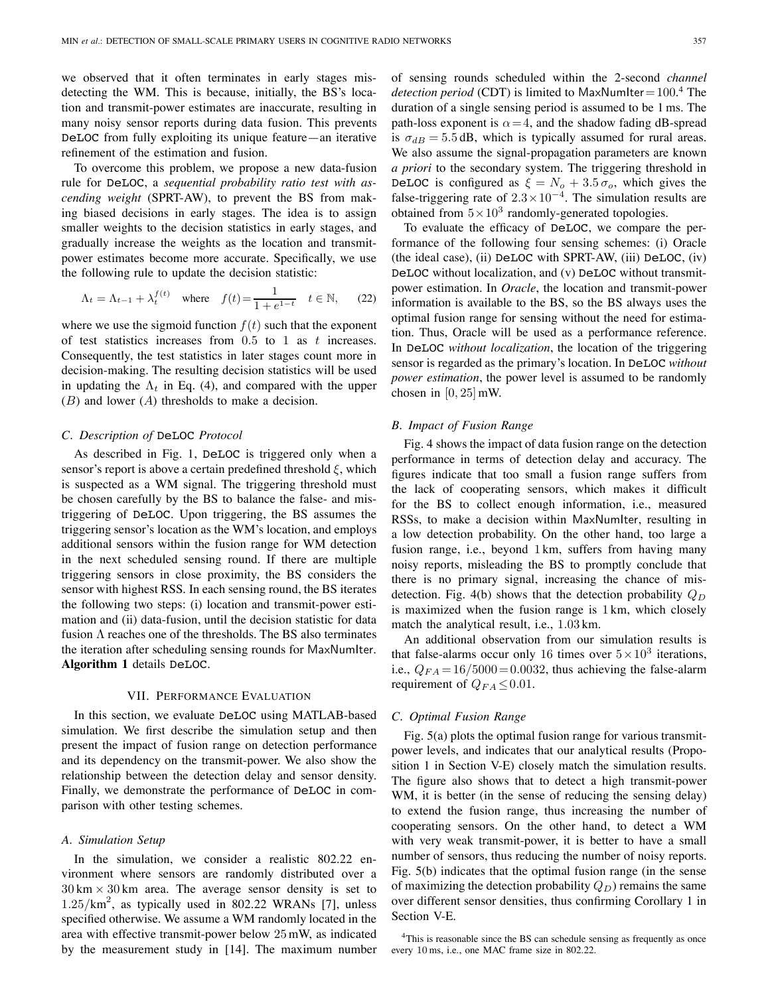we observed that it often terminates in early stages misdetecting the WM. This is because, initially, the BS's location and transmit-power estimates are inaccurate, resulting in many noisy sensor reports during data fusion. This prevents DeLOC from fully exploiting its unique feature—an iterative refinement of the estimation and fusion.

To overcome this problem, we propose a new data-fusion rule for DeLOC, a *sequential probability ratio test with ascending weight* (SPRT-AW), to prevent the BS from making biased decisions in early stages. The idea is to assign smaller weights to the decision statistics in early stages, and gradually increase the weights as the location and transmitpower estimates become more accurate. Specifically, we use the following rule to update the decision statistic:

$$
\Lambda_t = \Lambda_{t-1} + \lambda_t^{f(t)} \quad \text{where} \quad f(t) = \frac{1}{1 + e^{1 - t}} \quad t \in \mathbb{N}, \tag{22}
$$

where we use the sigmoid function  $f(t)$  such that the exponent of test statistics increases from  $0.5$  to 1 as t increases. Consequently, the test statistics in later stages count more in decision-making. The resulting decision statistics will be used in updating the  $\Lambda_t$  in Eq. (4), and compared with the upper  $(B)$  and lower  $(A)$  thresholds to make a decision.

## *C. Description of* DeLOC *Protocol*

As described in Fig. 1, DeLOC is triggered only when a sensor's report is above a certain predefined threshold  $\xi$ , which is suspected as a WM signal. The triggering threshold must be chosen carefully by the BS to balance the false- and mistriggering of DeLOC. Upon triggering, the BS assumes the triggering sensor's location as the WM's location, and employs additional sensors within the fusion range for WM detection in the next scheduled sensing round. If there are multiple triggering sensors in close proximity, the BS considers the sensor with highest RSS. In each sensing round, the BS iterates the following two steps: (i) location and transmit-power estimation and (ii) data-fusion, until the decision statistic for data fusion  $\Lambda$  reaches one of the thresholds. The BS also terminates the iteration after scheduling sensing rounds for MaxNumIter. **Algorithm 1** details DeLOC.

#### VII. PERFORMANCE EVALUATION

In this section, we evaluate DeLOC using MATLAB-based simulation. We first describe the simulation setup and then present the impact of fusion range on detection performance and its dependency on the transmit-power. We also show the relationship between the detection delay and sensor density. Finally, we demonstrate the performance of DeLOC in comparison with other testing schemes.

#### *A. Simulation Setup*

In the simulation, we consider a realistic 802.22 environment where sensors are randomly distributed over a  $30 \text{ km} \times 30 \text{ km}$  area. The average sensor density is set to  $1.25/km^2$ , as typically used in 802.22 WRANs [7], unless specified otherwise. We assume a WM randomly located in the area with effective transmit-power below 25mW, as indicated by the measurement study in [14]. The maximum number of sensing rounds scheduled within the 2-second *channel*  $detection\ period$  (CDT) is limited to  ${\sf MaxNumber}\!=\!100.^4$  The duration of a single sensing period is assumed to be 1 ms. The path-loss exponent is  $\alpha = 4$ , and the shadow fading dB-spread is  $\sigma_{dB} = 5.5$  dB, which is typically assumed for rural areas. We also assume the signal-propagation parameters are known *a priori* to the secondary system. The triggering threshold in DeLOC is configured as  $\xi = N_o + 3.5 \sigma_o$ , which gives the false-triggering rate of  $2.3 \times 10^{-4}$ . The simulation results are obtained from  $5 \times 10^3$  randomly-generated topologies.

To evaluate the efficacy of DeLOC, we compare the performance of the following four sensing schemes: (i) Oracle (the ideal case), (ii) DeLOC with SPRT-AW, (iii) DeLOC, (iv) DeLOC without localization, and (v) DeLOC without transmitpower estimation. In *Oracle*, the location and transmit-power information is available to the BS, so the BS always uses the optimal fusion range for sensing without the need for estimation. Thus, Oracle will be used as a performance reference. In DeLOC *without localization*, the location of the triggering sensor is regarded as the primary's location. In DeLOC *without power estimation*, the power level is assumed to be randomly chosen in  $[0, 25]$  mW.

## *B. Impact of Fusion Range*

Fig. 4 shows the impact of data fusion range on the detection performance in terms of detection delay and accuracy. The figures indicate that too small a fusion range suffers from the lack of cooperating sensors, which makes it difficult for the BS to collect enough information, i.e., measured RSSs, to make a decision within MaxNumIter, resulting in a low detection probability. On the other hand, too large a fusion range, i.e., beyond 1 km, suffers from having many noisy reports, misleading the BS to promptly conclude that there is no primary signal, increasing the chance of misdetection. Fig. 4(b) shows that the detection probability  $Q_D$ is maximized when the fusion range is 1 km, which closely match the analytical result, i.e., 1.03 km.

An additional observation from our simulation results is that false-alarms occur only 16 times over  $5 \times 10^3$  iterations, i.e.,  $Q_{FA} = 16/5000 = 0.0032$ , thus achieving the false-alarm requirement of  $Q_{FA} \leq 0.01$ .

## *C. Optimal Fusion Range*

Fig. 5(a) plots the optimal fusion range for various transmitpower levels, and indicates that our analytical results (Proposition 1 in Section V-E) closely match the simulation results. The figure also shows that to detect a high transmit-power WM, it is better (in the sense of reducing the sensing delay) to extend the fusion range, thus increasing the number of cooperating sensors. On the other hand, to detect a WM with very weak transmit-power, it is better to have a small number of sensors, thus reducing the number of noisy reports. Fig. 5(b) indicates that the optimal fusion range (in the sense of maximizing the detection probability  $Q_D$ ) remains the same over different sensor densities, thus confirming Corollary 1 in Section V-E.

<sup>&</sup>lt;sup>4</sup>This is reasonable since the BS can schedule sensing as frequently as once every 10 ms, i.e., one MAC frame size in 802.22.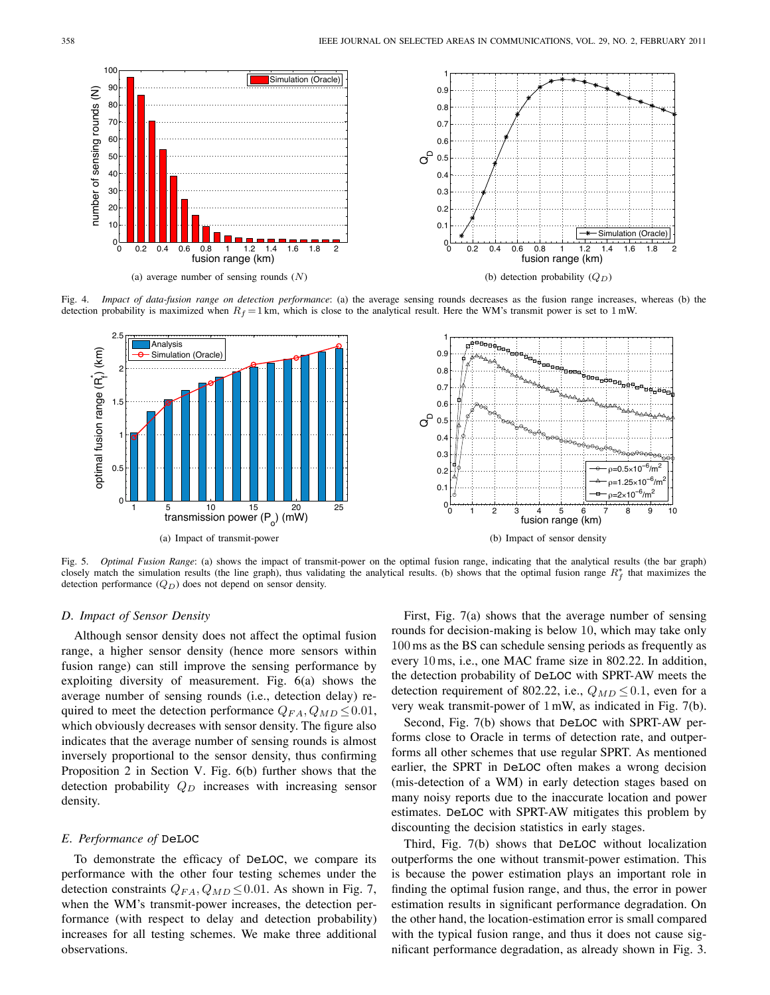

Fig. 4. *Impact of data-fusion range on detection performance*: (a) the average sensing rounds decreases as the fusion range increases, whereas (b) the detection probability is maximized when  $R_f = 1$  km, which is close to the analytical result. Here the WM's transmit power is set to 1 mW.



Fig. 5. *Optimal Fusion Range*: (a) shows the impact of transmit-power on the optimal fusion range, indicating that the analytical results (the bar graph) closely match the simulation results (the line graph), thus validating the analytical results. (b) shows that the optimal fusion range  $R_f^*$  that maximizes the detection performance  $(Q_D)$  does not depend on sensor density.

## *D. Impact of Sensor Density*

Although sensor density does not affect the optimal fusion range, a higher sensor density (hence more sensors within fusion range) can still improve the sensing performance by exploiting diversity of measurement. Fig. 6(a) shows the average number of sensing rounds (i.e., detection delay) required to meet the detection performance  $Q_{FA}$ ,  $Q_{MD} \le 0.01$ , which obviously decreases with sensor density. The figure also indicates that the average number of sensing rounds is almost inversely proportional to the sensor density, thus confirming Proposition 2 in Section V. Fig. 6(b) further shows that the detection probability  $Q_D$  increases with increasing sensor density.

#### *E. Performance of* DeLOC

To demonstrate the efficacy of DeLOC, we compare its performance with the other four testing schemes under the detection constraints  $Q_{FA}$ ,  $Q_{MD} \leq 0.01$ . As shown in Fig. 7, when the WM's transmit-power increases, the detection performance (with respect to delay and detection probability) increases for all testing schemes. We make three additional observations.

First, Fig. 7(a) shows that the average number of sensing rounds for decision-making is below 10, which may take only 100 ms as the BS can schedule sensing periods as frequently as every 10 ms, i.e., one MAC frame size in 802.22. In addition, the detection probability of DeLOC with SPRT-AW meets the detection requirement of 802.22, i.e.,  $Q_{MD} \leq 0.1$ , even for a very weak transmit-power of 1 mW, as indicated in Fig. 7(b).

Second, Fig. 7(b) shows that DeLOC with SPRT-AW performs close to Oracle in terms of detection rate, and outperforms all other schemes that use regular SPRT. As mentioned earlier, the SPRT in DeLOC often makes a wrong decision (mis-detection of a WM) in early detection stages based on many noisy reports due to the inaccurate location and power estimates. DeLOC with SPRT-AW mitigates this problem by discounting the decision statistics in early stages.

Third, Fig. 7(b) shows that DeLOC without localization outperforms the one without transmit-power estimation. This is because the power estimation plays an important role in finding the optimal fusion range, and thus, the error in power estimation results in significant performance degradation. On the other hand, the location-estimation error is small compared with the typical fusion range, and thus it does not cause significant performance degradation, as already shown in Fig. 3.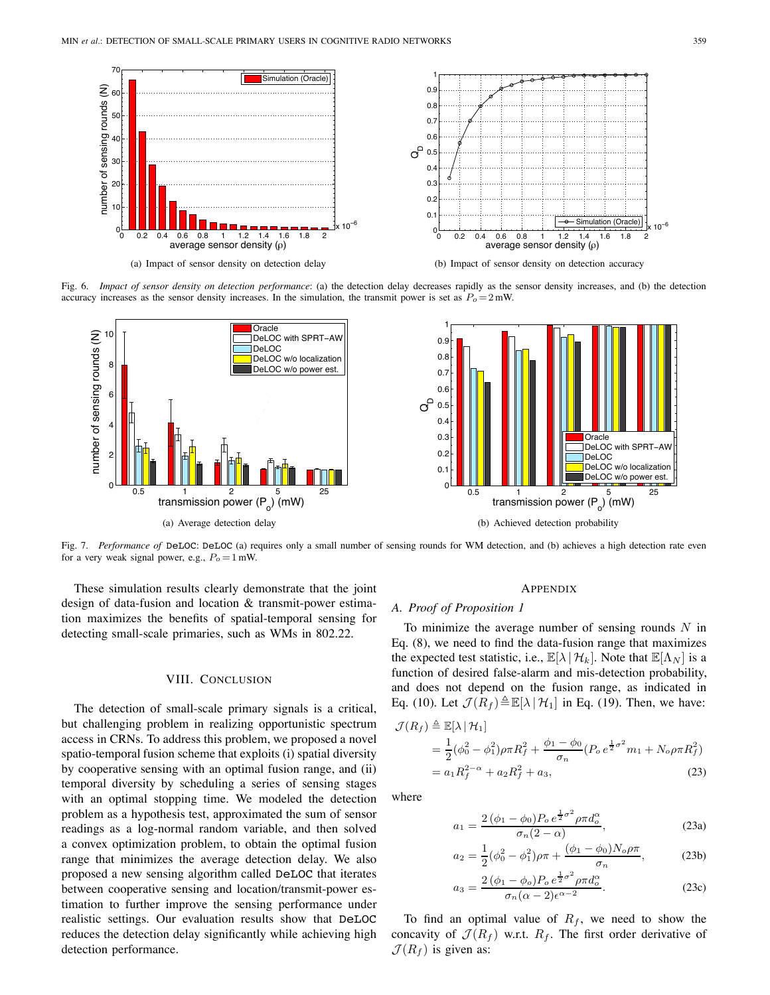

Fig. 6. *Impact of sensor density on detection performance*: (a) the detection delay decreases rapidly as the sensor density increases, and (b) the detection accuracy increases as the sensor density increases. In the simulation, the transmit power is set as  $P_0 = 2$  mW.



Fig. 7. *Performance of* DeLOC: DeLOC (a) requires only a small number of sensing rounds for WM detection, and (b) achieves a high detection rate even for a very weak signal power, e.g.,  $P_o = 1$  mW.

These simulation results clearly demonstrate that the joint design of data-fusion and location & transmit-power estimation maximizes the benefits of spatial-temporal sensing for detecting small-scale primaries, such as WMs in 802.22.

## VIII. CONCLUSION

The detection of small-scale primary signals is a critical, but challenging problem in realizing opportunistic spectrum access in CRNs. To address this problem, we proposed a novel spatio-temporal fusion scheme that exploits (i) spatial diversity by cooperative sensing with an optimal fusion range, and (ii) temporal diversity by scheduling a series of sensing stages with an optimal stopping time. We modeled the detection problem as a hypothesis test, approximated the sum of sensor readings as a log-normal random variable, and then solved a convex optimization problem, to obtain the optimal fusion range that minimizes the average detection delay. We also proposed a new sensing algorithm called DeLOC that iterates between cooperative sensing and location/transmit-power estimation to further improve the sensing performance under realistic settings. Our evaluation results show that DeLOC reduces the detection delay significantly while achieving high detection performance.

## APPENDIX

## *A. Proof of Proposition 1*

To minimize the average number of sensing rounds  $N$  in Eq. (8), we need to find the data-fusion range that maximizes the expected test statistic, i.e.,  $\mathbb{E}[\lambda | \mathcal{H}_k]$ . Note that  $\mathbb{E}[\Lambda_N]$  is a function of desired false-alarm and mis-detection probability, and does not depend on the fusion range, as indicated in Eq. (10). Let  $\mathcal{J}(R_f) \triangleq \mathbb{E}[\lambda | \mathcal{H}_1]$  in Eq. (19). Then, we have:

$$
\mathcal{J}(R_f) \triangleq \mathbb{E}[\lambda | \mathcal{H}_1] \n= \frac{1}{2} (\phi_0^2 - \phi_1^2) \rho \pi R_f^2 + \frac{\phi_1 - \phi_0}{\sigma_n} (P_o e^{\frac{1}{2}\sigma^2} m_1 + N_o \rho \pi R_f^2) \n= a_1 R_f^{2-\alpha} + a_2 R_f^2 + a_3,
$$
\n(23)

where

$$
a_1 = \frac{2(\phi_1 - \phi_0)P_o e^{\frac{1}{2}\sigma^2} \rho \pi d_o^{\alpha}}{\sigma_n (2 - \alpha)},
$$
\n(23a)

$$
a_2 = \frac{1}{2}(\phi_0^2 - \phi_1^2)\rho\pi + \frac{(\phi_1 - \phi_0)N_o\rho\pi}{\sigma_n},
$$
 (23b)

$$
a_3 = \frac{2(\phi_1 - \phi_o)P_o e^{\frac{1}{2}\sigma^2} \rho \pi d_o^{\alpha}}{\sigma_n(\alpha - 2)e^{\alpha - 2}}.
$$
 (23c)

To find an optimal value of  $R_f$ , we need to show the concavity of  $\mathcal{J}(R_f)$  w.r.t.  $R_f$ . The first order derivative of  $\mathcal{J}(R_f)$  is given as: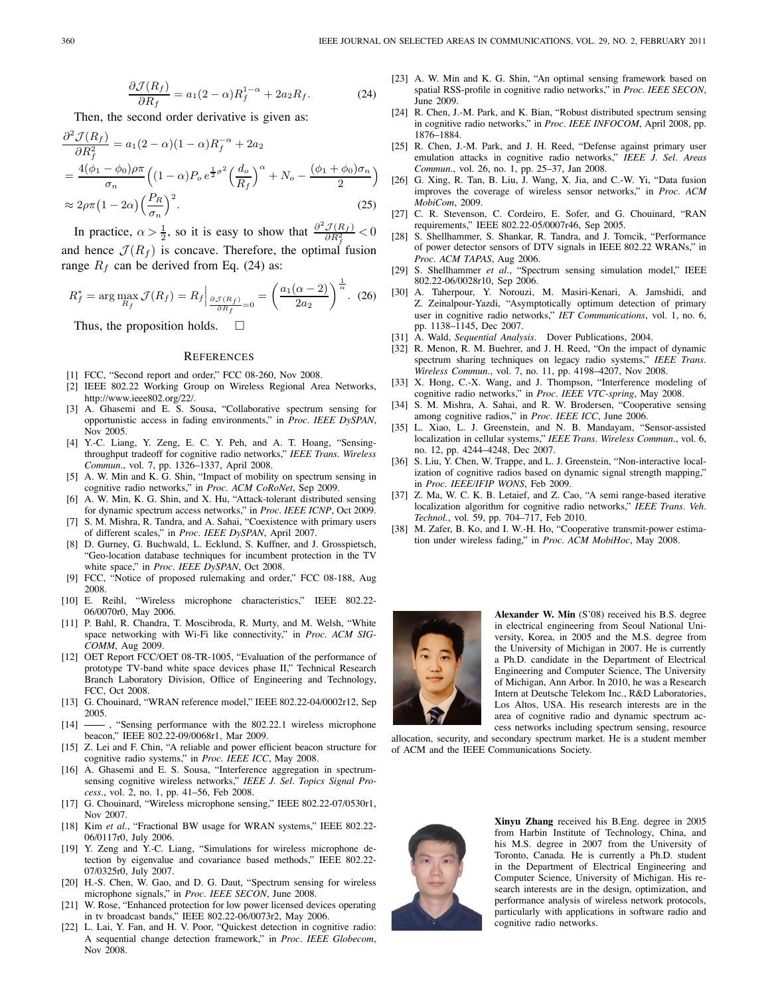$$
\frac{\partial \mathcal{J}(R_f)}{\partial R_f} = a_1(2-\alpha)R_f^{1-\alpha} + 2a_2R_f.
$$
 (24)

Then, the second order derivative is given as:

$$
\frac{\partial^2 \mathcal{J}(R_f)}{\partial R_f^2} = a_1(2-\alpha)(1-\alpha)R_f^{-\alpha} + 2a_2
$$
  
= 
$$
\frac{4(\phi_1 - \phi_0)\rho\pi}{\sigma_n} \left( (1-\alpha)P_o e^{\frac{1}{2}\sigma^2} \left( \frac{d_o}{R_f} \right)^{\alpha} + N_o - \frac{(\phi_1 + \phi_0)\sigma_n}{2} \right)
$$
  

$$
\approx 2\rho\pi (1-2\alpha) \left( \frac{P_R}{\sigma_n} \right)^2.
$$
 (25)

In practice,  $\alpha > \frac{1}{2}$ , so it is easy to show that  $\frac{\partial^2 \mathcal{J}(R_f)}{\partial R_f^2} < 0$ and hence  $\mathcal{J}(R_f)$  is concave. Therefore, the optimal fusion range  $R_f$  can be derived from Eq. (24) as:

$$
R_f^* = \arg\max_{R_f} \mathcal{J}(R_f) = R_f \Big|_{\frac{\partial \mathcal{J}(R_f)}{\partial R_f} = 0} = \left(\frac{a_1(\alpha - 2)}{2a_2}\right)^{\frac{1}{\alpha}}.
$$
 (26)

Thus, the proposition holds.  $\square$ 

#### **REFERENCES**

- [1] FCC, "Second report and order," FCC 08-260, Nov 2008.
- [2] IEEE 802.22 Working Group on Wireless Regional Area Networks, http://www.ieee802.org/22/.
- [3] A. Ghasemi and E. S. Sousa, "Collaborative spectrum sensing for opportunistic access in fading environments," in *Proc. IEEE DySPAN*, Nov 2005.
- [4] Y.-C. Liang, Y. Zeng, E. C. Y. Peh, and A. T. Hoang, "Sensingthroughput tradeoff for cognitive radio networks," *IEEE Trans. Wireless Commun.*, vol. 7, pp. 1326–1337, April 2008.
- [5] A. W. Min and K. G. Shin, "Impact of mobility on spectrum sensing in cognitive radio networks," in *Proc. ACM CoRoNet*, Sep 2009.
- [6] A. W. Min, K. G. Shin, and X. Hu, "Attack-tolerant distributed sensing for dynamic spectrum access networks," in *Proc. IEEE ICNP*, Oct 2009.
- [7] S. M. Mishra, R. Tandra, and A. Sahai, "Coexistence with primary users of different scales," in *Proc. IEEE DySPAN*, April 2007.
- [8] D. Gurney, G. Buchwald, L. Ecklund, S. Kuffner, and J. Grosspietsch, "Geo-location database techniques for incumbent protection in the TV white space," in *Proc. IEEE DySPAN*, Oct 2008.
- [9] FCC, "Notice of proposed rulemaking and order," FCC 08-188, Aug 2008.
- [10] E. Reihl, "Wireless microphone characteristics," IEEE 802.22- 06/0070r0, May 2006.
- [11] P. Bahl, R. Chandra, T. Moscibroda, R. Murty, and M. Welsh, "White space networking with Wi-Fi like connectivity," in *Proc. ACM SIG-COMM*, Aug 2009.
- [12] OET Report FCC/OET 08-TR-1005, "Evaluation of the performance of prototype TV-band white space devices phase II," Technical Research Branch Laboratory Division, Office of Engineering and Technology, FCC, Oct 2008.
- [13] G. Chouinard, "WRAN reference model," IEEE 802.22-04/0002r12, Sep 2005.
- [14] Sensing performance with the 802.22.1 wireless microphone beacon," IEEE 802.22-09/0068r1, Mar 2009.
- [15] Z. Lei and F. Chin, "A reliable and power efficient beacon structure for cognitive radio systems," in *Proc. IEEE ICC*, May 2008.
- [16] A. Ghasemi and E. S. Sousa, "Interference aggregation in spectrumsensing cognitive wireless networks," *IEEE J. Sel. Topics Signal Process.*, vol. 2, no. 1, pp. 41–56, Feb 2008.
- [17] G. Chouinard, "Wireless microphone sensing," IEEE 802.22-07/0530r1, Nov 2007.
- [18] Kim et al., "Fractional BW usage for WRAN systems," IEEE 802.22-06/0117r0, July 2006.
- [19] Y. Zeng and Y.-C. Liang, "Simulations for wireless microphone detection by eigenvalue and covariance based methods," IEEE 802.22- 07/0325r0, July 2007.
- [20] H.-S. Chen, W. Gao, and D. G. Daut, "Spectrum sensing for wireless microphone signals," in *Proc. IEEE SECON*, June 2008.
- [21] W. Rose, "Enhanced protection for low power licensed devices operating in tv broadcast bands," IEEE 802.22-06/0073r2, May 2006.
- [22] L. Lai, Y. Fan, and H. V. Poor, "Quickest detection in cognitive radio: A sequential change detection framework," in *Proc. IEEE Globecom*, Nov 2008.
- [23] A. W. Min and K. G. Shin, "An optimal sensing framework based on spatial RSS-profile in cognitive radio networks," in *Proc. IEEE SECON*, June 2009.
- [24] R. Chen, J.-M. Park, and K. Bian, "Robust distributed spectrum sensing in cognitive radio networks," in *Proc. IEEE INFOCOM*, April 2008, pp. 1876–1884.
- [25] R. Chen, J.-M. Park, and J. H. Reed, "Defense against primary user emulation attacks in cognitive radio networks," *IEEE J. Sel. Areas Commun.*, vol. 26, no. 1, pp. 25–37, Jan 2008.
- [26] G. Xing, R. Tan, B. Liu, J. Wang, X. Jia, and C.-W. Yi, "Data fusion improves the coverage of wireless sensor networks," in *Proc. ACM MobiCom*, 2009.
- [27] C. R. Stevenson, C. Cordeiro, E. Sofer, and G. Chouinard, "RAN requirements," IEEE 802.22-05/0007r46, Sep 2005.
- [28] S. Shellhammer, S. Shankar, R. Tandra, and J. Tomcik, "Performance of power detector sensors of DTV signals in IEEE 802.22 WRANs," in *Proc. ACM TAPAS*, Aug 2006.
- [29] S. Shellhammer *et al.*, "Spectrum sensing simulation model," IEEE 802.22-06/0028r10, Sep 2006.
- [30] A. Taherpour, Y. Norouzi, M. Masiri-Kenari, A. Jamshidi, and Z. Zeinalpour-Yazdi, "Asymptotically optimum detection of primary user in cognitive radio networks," *IET Communications*, vol. 1, no. 6, pp. 1138–1145, Dec 2007.
- [31] A. Wald, *Sequential Analysis*. Dover Publications, 2004.
- [32] R. Menon, R. M. Buehrer, and J. H. Reed, "On the impact of dynamic spectrum sharing techniques on legacy radio systems," *IEEE Trans. Wireless Commun.*, vol. 7, no. 11, pp. 4198–4207, Nov 2008.
- [33] X. Hong, C.-X. Wang, and J. Thompson, "Interference modeling of cognitive radio networks," in *Proc. IEEE VTC-spring*, May 2008.
- [34] S. M. Mishra, A. Sahai, and R. W. Brodersen, "Cooperative sensing among cognitive radios," in *Proc. IEEE ICC*, June 2006.
- [35] L. Xiao, L. J. Greenstein, and N. B. Mandayam, "Sensor-assisted localization in cellular systems," *IEEE Trans. Wireless Commun.*, vol. 6, no. 12, pp. 4244–4248, Dec 2007.
- [36] S. Liu, Y. Chen, W. Trappe, and L. J. Greenstein, "Non-interactive localization of cognitive radios based on dynamic signal strength mapping," in *Proc. IEEE/IFIP WONS*, Feb 2009.
- [37] Z. Ma, W. C. K. B. Letaief, and Z. Cao, "A semi range-based iterative localization algorithm for cognitive radio networks," *IEEE Trans. Veh. Technol.*, vol. 59, pp. 704–717, Feb 2010.
- [38] M. Zafer, B. Ko, and I. W.-H. Ho, "Cooperative transmit-power estimation under wireless fading," in *Proc. ACM MobiHoc*, May 2008.



**Alexander W. Min** (S'08) received his B.S. degree in electrical engineering from Seoul National University, Korea, in 2005 and the M.S. degree from the University of Michigan in 2007. He is currently a Ph.D. candidate in the Department of Electrical Engineering and Computer Science, The University of Michigan, Ann Arbor. In 2010, he was a Research Intern at Deutsche Telekom Inc., R&D Laboratories, Los Altos, USA. His research interests are in the area of cognitive radio and dynamic spectrum access networks including spectrum sensing, resource

allocation, security, and secondary spectrum market. He is a student member of ACM and the IEEE Communications Society.



**Xinyu Zhang** received his B.Eng. degree in 2005 from Harbin Institute of Technology, China, and his M.S. degree in 2007 from the University of Toronto, Canada. He is currently a Ph.D. student in the Department of Electrical Engineering and Computer Science, University of Michigan. His research interests are in the design, optimization, and performance analysis of wireless network protocols, particularly with applications in software radio and cognitive radio networks.